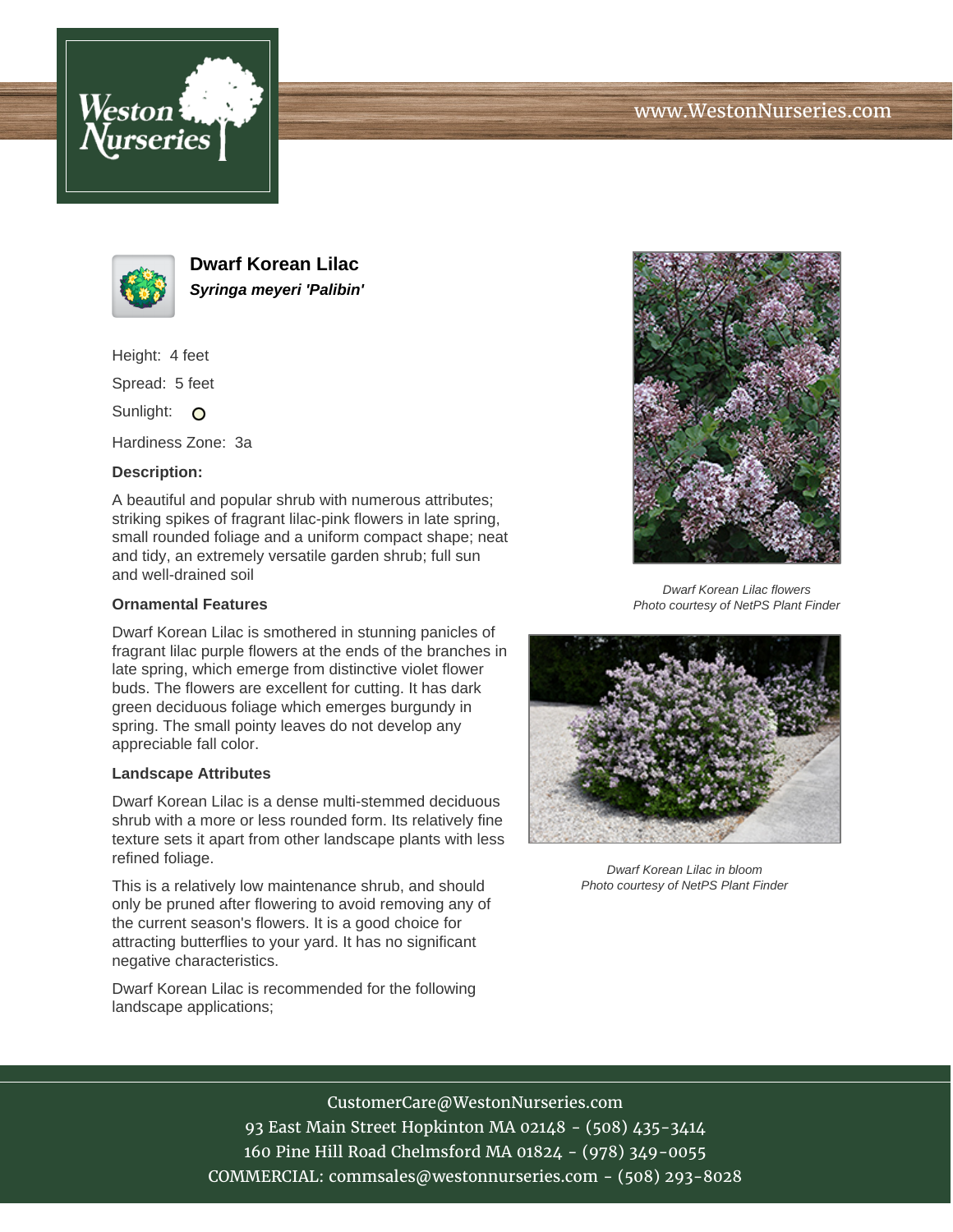



**Dwarf Korean Lilac Syringa meyeri 'Palibin'**

Height: 4 feet

Spread: 5 feet

Sunlight: O

Hardiness Zone: 3a

## **Description:**

A beautiful and popular shrub with numerous attributes; striking spikes of fragrant lilac-pink flowers in late spring, small rounded foliage and a uniform compact shape; neat and tidy, an extremely versatile garden shrub; full sun and well-drained soil

## **Ornamental Features**

Dwarf Korean Lilac is smothered in stunning panicles of fragrant lilac purple flowers at the ends of the branches in late spring, which emerge from distinctive violet flower buds. The flowers are excellent for cutting. It has dark green deciduous foliage which emerges burgundy in spring. The small pointy leaves do not develop any appreciable fall color.

## **Landscape Attributes**

Dwarf Korean Lilac is a dense multi-stemmed deciduous shrub with a more or less rounded form. Its relatively fine texture sets it apart from other landscape plants with less refined foliage.

This is a relatively low maintenance shrub, and should only be pruned after flowering to avoid removing any of the current season's flowers. It is a good choice for attracting butterflies to your yard. It has no significant negative characteristics.

Dwarf Korean Lilac is recommended for the following landscape applications;



Dwarf Korean Lilac flowers Photo courtesy of NetPS Plant Finder



Dwarf Korean Lilac in bloom Photo courtesy of NetPS Plant Finder

CustomerCare@WestonNurseries.com

93 East Main Street Hopkinton MA 02148 - (508) 435-3414 160 Pine Hill Road Chelmsford MA 01824 - (978) 349-0055 COMMERCIAL: commsales@westonnurseries.com - (508) 293-8028